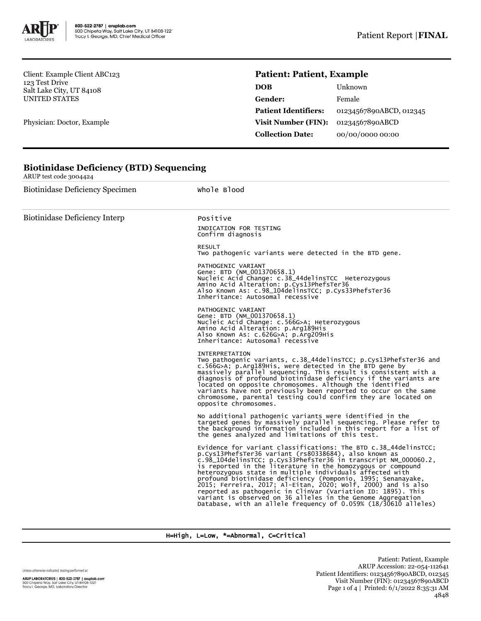

**Biotinidase Deficiency (BTD) Sequencing**

Client: Example Client ABC123 123 Test Drive Salt Lake City, UT 84108 UNITED STATES

Physician: Doctor, Example

# **Patient: Patient, Example**

| <b>DOB</b>                  | Unknown                 |
|-----------------------------|-------------------------|
| <b>Gender:</b>              | Female                  |
| <b>Patient Identifiers:</b> | 01234567890ABCD, 012345 |
| Visit Number (FIN):         | 01234567890ABCD         |
| <b>Collection Date:</b>     | 00/00/0000 00:00        |

| ARUP test code 3004424                 |                                                                                                                                                                                                                                                                                                                                                                                                                                                                                                                                                                                                                                                               |  |  |  |
|----------------------------------------|---------------------------------------------------------------------------------------------------------------------------------------------------------------------------------------------------------------------------------------------------------------------------------------------------------------------------------------------------------------------------------------------------------------------------------------------------------------------------------------------------------------------------------------------------------------------------------------------------------------------------------------------------------------|--|--|--|
| <b>Biotinidase Deficiency Specimen</b> | Whole Blood                                                                                                                                                                                                                                                                                                                                                                                                                                                                                                                                                                                                                                                   |  |  |  |
| <b>Biotinidase Deficiency Interp</b>   | Positive<br>INDICATION FOR TESTING<br>Confirm diagnosis                                                                                                                                                                                                                                                                                                                                                                                                                                                                                                                                                                                                       |  |  |  |
|                                        | <b>RESULT</b><br>Two pathogenic variants were detected in the BTD gene.                                                                                                                                                                                                                                                                                                                                                                                                                                                                                                                                                                                       |  |  |  |
|                                        | PATHOGENIC VARIANT<br>Gene: BTD (NM_001370658.1)<br>Nucleic Acid Change: c.38_44delinsTCC Heterozygous<br>Amino Acid Alteration: p.Cys13PhefsTer36<br>Also Known As: c.98_104delinsTCC; p.Cys33PhefsTer36<br>Inheritance: Autosomal recessive                                                                                                                                                                                                                                                                                                                                                                                                                 |  |  |  |
|                                        | PATHOGENIC VARIANT<br>Gene: BTD (NM_001370658.1)<br>Nucleic Acid Change: c.566G>A; Heterozygous<br>Amino Acid Alteration: p.Arg189His<br>Also Known As: c.626G>A; p.Arg209His<br>Inheritance: Autosomal recessive                                                                                                                                                                                                                                                                                                                                                                                                                                             |  |  |  |
|                                        | <b>INTERPRETATION</b><br>Two pathogenic variants, c.38_44delinsTCC; p.Cys13PhefsTer36 and<br>c.566G>A; p.Arg189His, were detected in the BTD gene by<br>massively parallel sequencing. This result is consistent with a<br>diagnosis of profound biotinidase deficiency if the variants are<br>located on opposite chromosomes. Although the identified<br>variants have not previously been reported to occur on the same<br>chromosome, parental testing could confirm they are located on<br>opposite chromosomes.                                                                                                                                         |  |  |  |
|                                        | No additional pathogenic variants were identified in the<br>targeted genes by massively parallel sequencing. Please refer to<br>the background information included in this report for a list of<br>the genes analyzed and limitations of this test.                                                                                                                                                                                                                                                                                                                                                                                                          |  |  |  |
|                                        | Evidence for variant classifications: The BTD c.38_44delinsTCC;<br>p.Cys13PhefsTer36 variant (rs80338684), also known as<br>c.98_104delinsTCC; p.Cys33PhefsTer36 in transcript NM_000060.2,<br>is reported in the literature in the homozygous or compound<br>heterozygous state in multiple individuals affected with<br>profound biotinidase deficiency (Pomponio, 1995; Senanayake,<br>2015; Ferreira, 2017; Al-Eitan, 2020; Wolf, 2000) and is also<br>reported as pathogenic in ClinVar (Variation ID: 1895). This<br>variant is observed on 36 alleles in the Genome Aggregation<br>Database, with an allele frequency of $0.059%$ $(18/30610$ alleles) |  |  |  |

H=High, L=Low, \*=Abnormal, C=Critical

Unless otherwise indicated, testing performed at: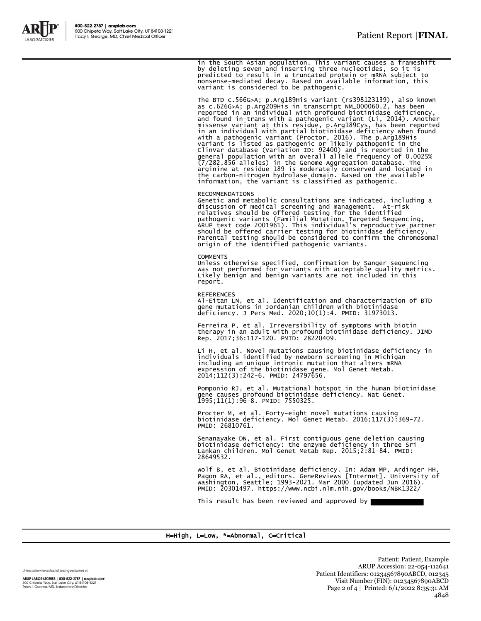

The BTD c.566G>A; p.Arg189His variant (rs398123139), also known<br>as c.626G>A; p.Arg209His in transcript NM\_000060.2, has been<br>reported in an individual with profound biotinidase deficiency,<br>and found in-trans with a pathoge with a pathogenic variant (Proctor, 2016). The p.Arg189His<br>variant is listed as pathogenic or likely pathogenic in the<br>clinvar database (Variation ID: 92400) and is reported in the<br>general population with an overall allele the carbon-nitrogen hydrolase domain. Based on the available information, the variant is classified as pathogenic.

#### RECOMMENDATIONS

Genetic and metabolic consultations are indicated, including a<br>discussion of medical screening and management. At-risk<br>relatives should be offered testing for the identified<br>pathogenic variants (Familial Mutation, Targeted should be offered carrier testing for biotinidase deficiency. Parental testing should be considered to confirm the chromosomal origin of the identified pathogenic variants.

#### **COMMENTS**

Unless otherwise specified, confirmation by Sanger sequencing was not performed for variants with acceptable quality metrics. Likely benign and benign variants are not included in this report.

REFERENCES Al-Eitan LN, et al. Identification and characterization of BTD gene mutations in Jordanian children with biotinidase deficiency. J Pers Med. 2020;10(1):4. PMID: 31973013.

Ferreira P, et al. Irreversibility of symptoms with biotin therapy in an adult with profound biotinidase deficiency. JIMD Rep. 2017;36:117-120. PMID: 28220409.

Li H, et al. Novel mutations causing biotinidase deficiency in individuals identified by newborn screening in Michigan including an unique intronic mutation that alters mRNA expression of the biotinidase gene. Mol Genet Metab. 2014;112(3):242-6. PMID: 24797656.

Pomponio RJ, et al. Mutational hotspot in the human biotinidase gene causes profound biotinidase deficiency. Nat Genet. 1995;11(1):96-8. PMID: 7550325.

Procter M, et al. Forty-eight novel mutations causing biotinidase deficiency. Mol Genet Metab. 2016;117(3):369-72. PMID: 26810761.

Senanayake DN, et al. First contiguous gene deletion causing biotinidase deficiency: the enzyme deficiency in three Sri Lankan children. Mol Genet Metab Rep. 2015;2:81-84. PMID: 28649532.

wolf B, et al. Biotinidase deficiency. In: Adam MP, Ardinger нн,<br>Pagon RA, et al., editors. GeneReviews [Internet]. University of<br>Washington, Seattle; 1993-2021. Mar 2000 (updated Jun 2016).<br>PMID: 20301497. https://www.nc

This result has been reviewed and approved by

### H=High, L=Low, \*=Abnormal, C=Critical

Unless otherwise indicated, testing performed at:

ARUP LABORATORIES | 800-522-2787 | aruplab.com 500 Chipeta Way, Salt Lake City, UT 84108-1221<br>Tracy I. George, MD, Laboratory Director

Patient: Patient, Example ARUP Accession: 22-054-112641 Patient Identifiers: 01234567890ABCD, 012345 Visit Number (FIN): 01234567890ABCD Page 2 of 4 | Printed: 6/1/2022 8:35:31 AM 4848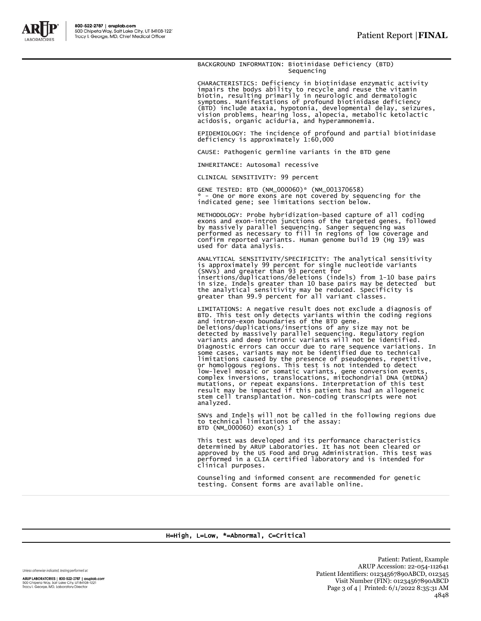

BACKGROUND INFORMATION: Biotinidase Deficiency (BTD) Sequencing

CHARACTERISTICS: Deficiency in biotinidase enzymatic activity impairs the bodys ability to recycle and reuse the vitamin biotin, resulting primarily in neurologic and dermatologic symptoms. Manifestations of profound biotinidase deficiency (BTD) include ataxia, hypotonia, developmental delay, seizures, vision problems, hearing loss, alopecia, metabolic ketolactic acidosis, organic aciduria, and hyperammonemia.

EPIDEMIOLOGY: The incidence of profound and partial biotinidase deficiency is approximately 1:60,000

CAUSE: Pathogenic germline variants in the BTD gene

INHERITANCE: Autosomal recessive

CLINICAL SENSITIVITY: 99 percent

GENE TESTED: BTD (NM\_000060)\* (NM\_001370658) - One or more exons are not covered by sequencing for the indicated gene; see limitations section below.

METHODOLOGY: Probe hybridization-based capture of all coding exons and exon-intron junctions of the targeted genes, followed by massively parallel sequencing. Sanger sequencing was performed as necessary to fill in regions of low coverage and confirm reported variants. Human genome build 19 (Hg 19) was used for data analysis.

ANALYTICAL SENSITIVITY/SPECIFICITY: The analytical sensitivity<br>is approximately 99 percent for single nucleotide variants<br>(SNVs) and greater than 93 percent for<br>insertions/duplications/deletions (indels) from 1-10 base pai

LIMITATIONS: A negative result does not exclude a diagnosis of BTD. This test only detects variants within the coding regions and intron-exon boundaries of the BTD gene. Deletions/duplications/insertions of any size may not be detected by massively parallel sequencing. Regulatory region variants and deep intronic variants will not be identified. Diagnostic errors can occur due to rare sequence variations. In some cases, variants may not be identified due to technical limitations caused by the presence of pseudogenes, repetitive, or homologous regions. This test is not intended to detect<br>low-level mosaic or somatic variants, gene conversion events,<br>complex inversions, translocations, mitochondrial DNA (mtDNA) mutations, or repeat expansions. Interpretation of this test result may be impacted if this patient has had an allogeneic stem cell transplantation. Non-coding transcripts were not analyzed.

SNVs and Indels will not be called in the following regions due to technical limitations of the assay: BTD (NM\_000060) exon(s) 1

This test was developed and its performance characteristics determined by ARUP Laboratories. It has not been cleared or approved by the US Food and Drug Administration. This test was performed in a CLIA certified laboratory and is intended for clinical purposes.

Counseling and informed consent are recommended for genetic testing. Consent forms are available online.

## H=High, L=Low, \*=Abnormal, C=Critical

Unless otherwise indicated, testing performed at:

ARUP LABORATORIES | 800-522-2787 | aruplab.com 500 Chipeta Way, Salt Lake City, UT 84108-1221<br>Tracy I. George, MD, Laboratory Director

Patient: Patient, Example ARUP Accession: 22-054-112641 Patient Identifiers: 01234567890ABCD, 012345 Visit Number (FIN): 01234567890ABCD Page 3 of 4 | Printed: 6/1/2022 8:35:31 AM 4848